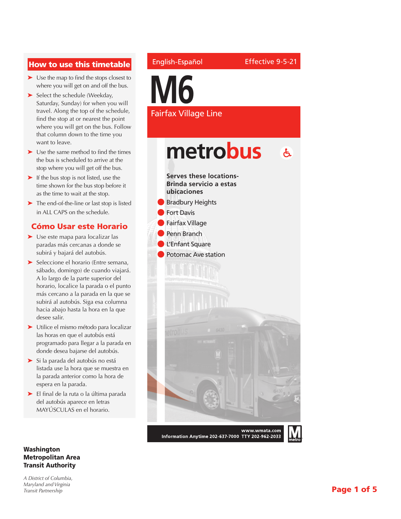## How to use this timetable

- ➤ Use the map to find the stops closest to where you will get on and off the bus.
- ➤ Select the schedule (Weekday, Saturday, Sunday) for when you will travel. Along the top of the schedule, find the stop at or nearest the point where you will get on the bus. Follow that column down to the time you want to leave.
- ➤ Use the same method to find the times the bus is scheduled to arrive at the stop where you will get off the bus.
- ➤ If the bus stop is not listed, use the time shown for the bus stop before it as the time to wait at the stop.
- ➤ The end-of-the-line or last stop is listed in ALL CAPS on the schedule.

### Cómo Usar este Horario

- ➤ Use este mapa para localizar las paradas más cercanas a donde se subirá y bajará del autobús.
- ➤ Seleccione el horario (Entre semana, sábado, domingo) de cuando viajará. A lo largo de la parte superior del horario, localice la parada o el punto más cercano a la parada en la que se subirá al autobús. Siga esa columna hacia abajo hasta la hora en la que desee salir.
- ➤ Utilice el mismo método para localizar las horas en que el autobús está programado para llegar a la parada en donde desea bajarse del autobús.
- ➤ Si la parada del autobús no está listada use la hora que se muestra en la parada anterior como la hora de espera en la parada.
- ➤ El final de la ruta o la última parada del autobús aparece en letras MAYÚSCULAS en el horario.

#### Washington Metropolitan Area Transit Authority

*A District of Columbia, Maryland and Virginia Transit Partnership*

### English-Español

Effective 9-5-21

**M6** Fairfax Village Line

# metrobus  $\mathbf{A}$

**Serves these locations-Brinda servicio a estas ubicaciones Bradbury Heights Fort Davis Fairfax Village** Penn Branch l L'Enfant Square Potomac Ave station www.wmata.com

Information Anytime 202-637-7000 TTY 202-962-2033

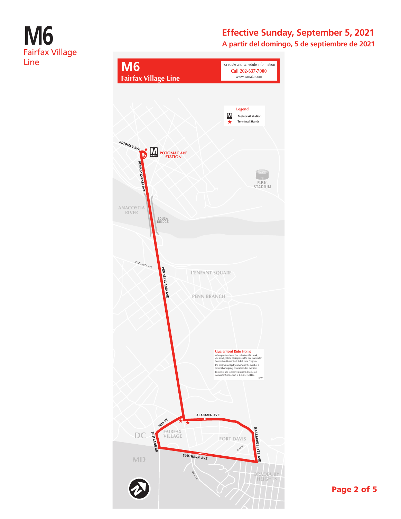# **M6** Fairfax Village Line

# **Effective Sunday, September 5, 2021**

**A partir del domingo, 5 de septiembre de 2021**

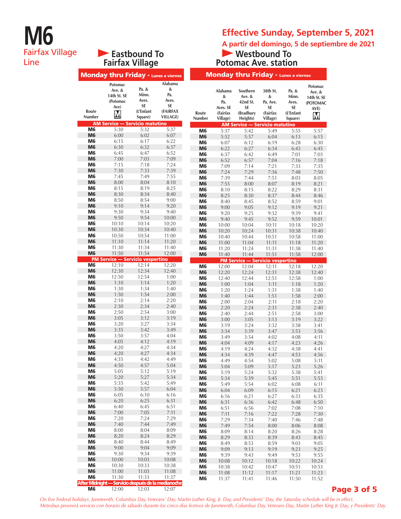# **M6** Fairfax Village Line

**Eastbound To** 

## **Effective Sunday, September 5, 2021**

**A partir del domingo, 5 de septiembre de 2021**

#### **Westbound To Potomac Ave. station**

| <b>Fairfax Village</b>           |                                                           |                                                       | <b>Potomac Ave. station</b>                                       |                                  |                                                                |                                                               |                                                         |                                                       |                                                           |
|----------------------------------|-----------------------------------------------------------|-------------------------------------------------------|-------------------------------------------------------------------|----------------------------------|----------------------------------------------------------------|---------------------------------------------------------------|---------------------------------------------------------|-------------------------------------------------------|-----------------------------------------------------------|
|                                  | <b>Monday thru Friday - Lunes a viernes</b>               |                                                       |                                                                   |                                  |                                                                | <b>Monday thru Friday - Lunes a viernes</b>                   |                                                         |                                                       |                                                           |
| Route<br>Number                  | Potomac<br>Ave. &<br>14th St. SE<br>(Potomac<br>Ave)<br>M | Pa. &<br>Minn.<br>Aves.<br>SE<br>(L'Enfant<br>Square) | Alabama<br>&<br>Pa.<br>Aves.<br>SE<br>(FAIRFAX<br><b>VILLAGE)</b> | Route<br>Number                  | <b>Alabama</b><br>&<br>Pa.<br>Aves. SE<br>(Fairfax<br>Village) | Southern<br>Ave. &<br>42nd St.<br>SE<br>(Bradbury<br>Heights) | 38th St.<br>&<br>Pa. Ave.<br>SE<br>(Fairfax<br>Village) | Pa. &<br>Minn.<br>Aves.<br>SE<br>(L'Enfant<br>Square) | Potomac<br>Ave. &<br>14th St. SE<br>(POTOMAC<br>AVE)<br>M |
|                                  | <b>AM Service - Servicio matutino</b>                     |                                                       |                                                                   |                                  |                                                                | <b>AM Service - Servicio matutino</b>                         |                                                         |                                                       |                                                           |
| M <sub>6</sub><br>M <sub>6</sub> | 5:30<br>6:00                                              | 5:32<br>6:02                                          | 5:37<br>6:07                                                      | M <sub>6</sub><br>M <sub>6</sub> | 5:37                                                           | 5:42                                                          | 5:49                                                    | 5:55                                                  | 5:57                                                      |
| M <sub>6</sub>                   | 6:15                                                      | 6:17                                                  | 6:22                                                              | M <sub>6</sub>                   | 5:52<br>6:07                                                   | 5:57<br>6:12                                                  | 6:04<br>6:19                                            | 6:13<br>6:28                                          | 6:15<br>6:30                                              |
| M <sub>6</sub>                   | 6:30                                                      | 6:32                                                  | 6:37                                                              | M <sub>6</sub>                   | 6:22                                                           | 6:27                                                          | 6:34                                                    | 6:43                                                  | 6:45                                                      |
| M <sub>6</sub>                   | 6:45                                                      | 6:47                                                  | 6:52                                                              | M <sub>6</sub>                   | 6:37                                                           | 6:42                                                          | 6:49                                                    | 7:01                                                  | 7:03                                                      |
| M <sub>6</sub><br>M <sub>6</sub> | 7:00<br>7:15                                              | 7:03<br>7:18                                          | 7:09<br>7:24                                                      | M <sub>6</sub>                   | 6:52                                                           | 6:57                                                          | 7:04                                                    | 7:16                                                  | 7:18                                                      |
| M <sub>6</sub>                   | 7:30                                                      | 7:33                                                  | 7:39                                                              | M <sub>6</sub><br>M <sub>6</sub> | 7:09<br>7:24                                                   | 7:14<br>7:29                                                  | 7:21<br>7:36                                            | 7:33<br>7:48                                          | 7:35<br>7:50                                              |
| M <sub>6</sub>                   | 7:45                                                      | 7:49                                                  | 7:55                                                              | M <sub>6</sub>                   | 7:39                                                           | 7:44                                                          | 7:51                                                    | 8:03                                                  | 8:05                                                      |
| M <sub>6</sub>                   | 8:00                                                      | 8:04                                                  | 8:10                                                              | M <sub>6</sub>                   | 7:55                                                           | 8:00                                                          | 8:07                                                    | 8:19                                                  | 8:21                                                      |
| M <sub>6</sub>                   | 8:15                                                      | 8:19                                                  | 8:25                                                              | M <sub>6</sub>                   | 8:10                                                           | 8:15                                                          | 8:22                                                    | 8:29                                                  | 8:31                                                      |
| M <sub>6</sub><br>M <sub>6</sub> | 8:30<br>8:50                                              | 8:34<br>8:54                                          | 8:40<br>9:00                                                      | M <sub>6</sub>                   | 8:25                                                           | 8:30                                                          | 8:37                                                    | 8:44                                                  | 8:46                                                      |
| M <sub>6</sub>                   | 9:10                                                      | 9:14                                                  | 9:20                                                              | M <sub>6</sub><br>M <sub>6</sub> | 8:40<br>9:00                                                   | 8:45<br>9:05                                                  | 8:52<br>9:12                                            | 8:59<br>9:19                                          | 9:01<br>9:21                                              |
| M <sub>6</sub>                   | 9:30                                                      | 9:34                                                  | 9:40                                                              | M <sub>6</sub>                   | 9:20                                                           | 9:25                                                          | 9:32                                                    | 9:39                                                  | 9:41                                                      |
| M <sub>6</sub>                   | 9:50                                                      | 9:54                                                  | 10:00                                                             | M <sub>6</sub>                   | 9:40                                                           | 9:45                                                          | 9:52                                                    | 9:59                                                  | 10:01                                                     |
| M <sub>6</sub>                   | 10:10                                                     | 10:14                                                 | 10:20                                                             | M <sub>6</sub>                   | 10:00                                                          | 10:04                                                         | 10:11                                                   | 10:18                                                 | 10:20                                                     |
| M <sub>6</sub><br>M <sub>6</sub> | 10:30<br>10:50                                            | 10:34<br>10:54                                        | 10:40<br>11:00                                                    | M <sub>6</sub>                   | 10:20                                                          | 10:24                                                         | 10:31                                                   | 10:38                                                 | 10:40                                                     |
| M <sub>6</sub>                   | 11:10                                                     | 11:14                                                 | 11:20                                                             | M <sub>6</sub><br>M <sub>6</sub> | 10:40<br>11:00                                                 | 10:44<br>11:04                                                | 10:51<br>11:11                                          | 10:58<br>11:18                                        | 11:00<br>11:20                                            |
| M <sub>6</sub>                   | 11:30                                                     | 11:34                                                 | 11:40                                                             | M <sub>6</sub>                   | 11:20                                                          | 11:24                                                         | 11:31                                                   | 11:38                                                 | 11:40                                                     |
| M <sub>6</sub>                   | 11:50                                                     | 11:54                                                 | 12:00                                                             | M <sub>6</sub>                   | 11:40                                                          | 11:44                                                         | 11:51                                                   | 11:58                                                 | 12:00                                                     |
| M <sub>6</sub>                   | <b>PM Service — Servicio vespertino</b><br>12:10          | 12:14                                                 | 12:20                                                             |                                  |                                                                | <b>PM Service - Servicio vespertino</b>                       |                                                         |                                                       |                                                           |
| M <sub>6</sub>                   | 12:30                                                     | 12:34                                                 | 12:40                                                             | M <sub>6</sub><br>M <sub>6</sub> | 12:00<br>12:20                                                 | 12:04<br>12:24                                                | 12:11<br>12:31                                          | 12:18<br>12:38                                        | 12:20<br>12:40                                            |
| M <sub>6</sub>                   | 12:50                                                     | 12:54                                                 | 1:00                                                              | M <sub>6</sub>                   | 12:40                                                          | 12:44                                                         | 12:51                                                   | 12:58                                                 | 1:00                                                      |
| M <sub>6</sub>                   | 1:10                                                      | 1:14                                                  | 1:20                                                              | M <sub>6</sub>                   | 1:00                                                           | 1:04                                                          | 1:11                                                    | 1:18                                                  | 1:20                                                      |
| M <sub>6</sub>                   | 1:30                                                      | 1:34                                                  | 1:40                                                              | M <sub>6</sub>                   | 1:20                                                           | 1:24                                                          | 1:31                                                    | 1:38                                                  | 1:40                                                      |
| M <sub>6</sub><br>M <sub>6</sub> | 1:50<br>2:10                                              | 1:54<br>2:14                                          | 2:00<br>2:20                                                      | M <sub>6</sub>                   | 1:40                                                           | 1:44                                                          | 1:51                                                    | 1:58                                                  | 2:00                                                      |
| M <sub>6</sub>                   | 2:30                                                      | 2:34                                                  | 2:40                                                              | M <sub>6</sub><br>M <sub>6</sub> | 2:00<br>2:20                                                   | 2:04<br>2:24                                                  | 2:11<br>2:31                                            | 2:18<br>2:38                                          | 2:20<br>2:40                                              |
| M <sub>6</sub>                   | 2:50                                                      | 2:54                                                  | 3:00                                                              | M <sub>6</sub>                   | 2:40                                                           | 2:44                                                          | 2:51                                                    | 2:58                                                  | 3:00                                                      |
| M <sub>6</sub>                   | 3:05                                                      | 3:12                                                  | 3:19                                                              | M <sub>6</sub>                   | 3:00                                                           | 3:05                                                          | 3:13                                                    | 3:19                                                  | 3:22                                                      |
| M <sub>6</sub><br>M <sub>6</sub> | 3:20<br>3:35                                              | 3:27<br>3:42                                          | 3:34<br>3:49                                                      | M <sub>6</sub>                   | 3:19                                                           | 3:24                                                          | 3:32                                                    | 3:38                                                  | 3:41                                                      |
| M <sub>6</sub>                   | 3:50                                                      | 3:57                                                  | 4:04                                                              | M <sub>6</sub><br>M <sub>6</sub> | 3:34                                                           | 3:39<br>3:54                                                  | 3:47                                                    | 3:53<br>4:08                                          | 3:56                                                      |
| M <sub>6</sub>                   | 4:05                                                      | 4:12                                                  | 4:19                                                              | M <sub>6</sub>                   | 3:49<br>4:04                                                   | 4:09                                                          | 4:02<br>4:17                                            | 4:23                                                  | 4:11<br>4:26                                              |
| M6                               | 4:20                                                      | 4:27                                                  | 4:34                                                              | M6                               | 4:19                                                           | 4:24                                                          | 4:32                                                    | 4:38                                                  | 4:41                                                      |
| M6                               | 4:20                                                      | 4:27                                                  | 4:34                                                              | M <sub>6</sub>                   | 4:34                                                           | 4:39                                                          | 4:47                                                    | 4:53                                                  | 4:56                                                      |
| M <sub>6</sub><br>M <sub>6</sub> | 4:35<br>4:50                                              | 4:42<br>4:57                                          | 4:49<br>5:04                                                      | M <sub>6</sub>                   | 4:49                                                           | 4:54                                                          | 5:02                                                    | 5:08                                                  | 5:11                                                      |
| M6                               | 5:05                                                      | 5:12                                                  | 5:19                                                              | M <sub>6</sub><br>M <sub>6</sub> | 5:04<br>5:19                                                   | 5:09<br>5:24                                                  | 5:17<br>5:32                                            | 5:23<br>5:38                                          | 5:26<br>5:41                                              |
| M <sub>6</sub>                   | 5:20                                                      | 5:27                                                  | 5:34                                                              | M <sub>6</sub>                   | 5:34                                                           | 5:39                                                          | 5:45                                                    | 5:51                                                  | 5:53                                                      |
| M6                               | 5:35                                                      | 5:42                                                  | 5:49                                                              | M <sub>6</sub>                   | 5:49                                                           | 5:54                                                          | 6:02                                                    | 6:08                                                  | 6:11                                                      |
| M <sub>6</sub><br>M6             | 5:50<br>6:05                                              | 5:57<br>6:10                                          | 6:04<br>6:16                                                      | M <sub>6</sub>                   | 6:04                                                           | 6:09                                                          | 6:15                                                    | 6:21                                                  | 6:23                                                      |
| M <sub>6</sub>                   | 6:20                                                      | 6:25                                                  | 6:31                                                              | M <sub>6</sub><br>M <sub>6</sub> | 6:16<br>6:31                                                   | 6:21<br>6:36                                                  | 6:27<br>6:42                                            | 6:33<br>6:48                                          | 6:35<br>6:50                                              |
| M6                               | 6:40                                                      | 6:45                                                  | 6:51                                                              | M <sub>6</sub>                   | 6:51                                                           | 6:56                                                          | 7:02                                                    | 7:08                                                  | 7:10                                                      |
| M <sub>6</sub>                   | 7:00                                                      | 7:05                                                  | 7:11                                                              | M <sub>6</sub>                   | 7:11                                                           | 7:16                                                          | 7:22                                                    | 7:28                                                  | 7:30                                                      |
| M6                               | 7:20                                                      | 7:24                                                  | 7:29                                                              | M <sub>6</sub>                   | 7:29                                                           | 7:34                                                          | 7:40                                                    | 7:46                                                  | 7:48                                                      |
| M <sub>6</sub><br>M6             | 7:40<br>8:00                                              | 7:44<br>8:04                                          | 7:49<br>8:09                                                      | M <sub>6</sub>                   | 7:49                                                           | 7:54                                                          | 8:00                                                    | 8:06                                                  | 8:08                                                      |
| M <sub>6</sub>                   | 8:20                                                      | 8:24                                                  | 8:29                                                              | M <sub>6</sub><br>M <sub>6</sub> | 8:09<br>8:29                                                   | 8:14<br>8:33                                                  | 8:20<br>8:39                                            | 8:26<br>8:43                                          | 8:28<br>8:45                                              |
| M6                               | 8:40                                                      | 8:44                                                  | 8:49                                                              | M <sub>6</sub>                   | 8:49                                                           | 8:53                                                          | 8:59                                                    | 9:03                                                  | 9:05                                                      |
| M <sub>6</sub>                   | 9:00                                                      | 9:04                                                  | 9:09                                                              | M <sub>6</sub>                   | 9:09                                                           | 9:13                                                          | 9:19                                                    | 9:23                                                  | 9:25                                                      |
| M6                               | 9:30                                                      | 9:34                                                  | 9:39                                                              | M <sub>6</sub>                   | 9:39                                                           | 9:43                                                          | 9:49                                                    | 9:53                                                  | 9:55                                                      |
| M <sub>6</sub><br>M6             | 10:00<br>10:30                                            | 10:03<br>10:33                                        | 10:08<br>10:38                                                    | M <sub>6</sub><br>M <sub>6</sub> | 10:08<br>10:38                                                 | 10:12                                                         | 10:18<br>10:47                                          | 10:22<br>10:51                                        | 10:24<br>10:53                                            |
| M <sub>6</sub>                   | 11:00                                                     | 11:03                                                 | 11:08                                                             | M <sub>6</sub>                   | 11:08                                                          | 10:42<br>11:12                                                | 11:17                                                   | 11:21                                                 | 11:23                                                     |
| M6                               | 11:30                                                     | 11:33                                                 | 11:37                                                             | M <sub>6</sub>                   | 11:37                                                          | 11:41                                                         | 11:46                                                   | 11:50                                                 | 11:52                                                     |
|                                  | After Midnight — Servicio después de la medianoche        |                                                       |                                                                   |                                  |                                                                |                                                               |                                                         |                                                       |                                                           |

#### Page 3 of 5

*On five Federal holidays, Juneteenth, Columbus Day, Veterans' Day, Martin Luther King, Jr. Day, and Presidents' Day, the Saturday schedule will be in effect. Metrobus proveerá servicio con horario de sábado durante los cinco días festivos de Juneteenth, Columbus Day, Veterans Day, Martin Luther King Jr. Day, y Presidents' Day.*

**M6** 12:00 12:03 12:07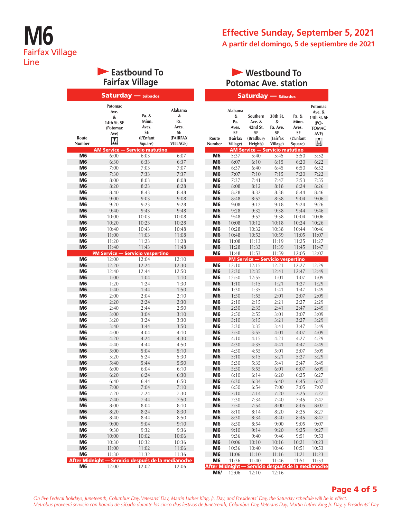## **Effective Sunday, September 5, 2021 A partir del domingo, 5 de septiembre de 2021**

## **Eastbound To Fairfax Village**

|                                  | <b>Saturday</b> - Sábados                                    |                                                       |                                                                   |                                  |                                                            | Saturday — Sábados                                              |                                                         |                                     |
|----------------------------------|--------------------------------------------------------------|-------------------------------------------------------|-------------------------------------------------------------------|----------------------------------|------------------------------------------------------------|-----------------------------------------------------------------|---------------------------------------------------------|-------------------------------------|
| Route<br>Number                  | Potomac<br>Ave.<br>&<br>14th St. SE<br>(Potomac<br>Ave)<br>Μ | Pa. &<br>Minn.<br>Aves.<br>SE<br>(L'Enfant<br>Square) | Alabama<br>&<br>Pa.<br>Aves.<br>SE<br>(FAIRFAX<br><b>VILLAGE)</b> | Route<br>Number                  | Alabama<br>&<br>Pa.<br>Aves.<br>SE<br>(Fairfax<br>Village) | Southern<br>Ave. $&$<br>42nd St.<br>SE<br>(Bradbury<br>Heights) | 38th St.<br>&<br>Pa. Ave.<br>SE<br>(Fairfax<br>Village) | P<br>٨<br>A<br>$(L^{\prime})$<br>Sq |
|                                  | <b>AM Service - Servicio matutino</b>                        |                                                       |                                                                   |                                  |                                                            | <b>AM Service - Servicio matut</b>                              |                                                         |                                     |
| M <sub>6</sub>                   | 6:00                                                         | 6:03                                                  | 6:07                                                              | M6                               | 5:37                                                       | 5:40                                                            | 5:45                                                    |                                     |
| M <sub>6</sub>                   | 6:30                                                         | 6:33                                                  | 6:37                                                              | M <sub>6</sub>                   | 6:07                                                       | 6:10                                                            | 6:15                                                    |                                     |
| M <sub>6</sub>                   | 7:00                                                         | 7:03                                                  | 7:07                                                              | M6                               | 6:37                                                       | 6:40                                                            | 6:45                                                    |                                     |
| M <sub>6</sub>                   | 7:30                                                         | 7:33                                                  | 7:37                                                              | M <sub>6</sub>                   | 7:07                                                       | 7:10                                                            | 7:15                                                    |                                     |
| M <sub>6</sub>                   | 8:00                                                         | 8:03                                                  | 8:08                                                              | M <sub>6</sub>                   | 7:37                                                       | 7:41                                                            | 7:47                                                    |                                     |
| M <sub>6</sub><br>M <sub>6</sub> | 8:20<br>8:40                                                 | 8:23<br>8:43                                          | 8:28<br>8:48                                                      | M <sub>6</sub><br>M <sub>6</sub> | 8:08<br>8:28                                               | 8:12<br>8:32                                                    | 8:18<br>8:38                                            |                                     |
| M <sub>6</sub>                   | 9:00                                                         | 9:03                                                  | 9:08                                                              | M <sub>6</sub>                   | 8:48                                                       | 8:52                                                            | 8:58                                                    |                                     |
| M <sub>6</sub>                   | 9:20                                                         | 9:23                                                  | 9:28                                                              | M <sub>6</sub>                   | 9:08                                                       | 9:12                                                            | 9:18                                                    |                                     |
| M <sub>6</sub>                   | 9:40                                                         | 9:43                                                  | 9:48                                                              | M <sub>6</sub>                   | 9:28                                                       | 9:32                                                            | 9:38                                                    |                                     |
| M <sub>6</sub>                   | 10:00                                                        | 10:03                                                 | 10:08                                                             | M <sub>6</sub>                   | 9:48                                                       | 9:52                                                            | 9:58                                                    | 1                                   |
| M <sub>6</sub>                   | 10:20                                                        | 10:23                                                 | 10:28                                                             | M <sub>6</sub>                   | 10:08                                                      | 10:12                                                           | 10:18                                                   | $\mathbf{1}$                        |
| M <sub>6</sub>                   | 10:40                                                        | 10:43                                                 | 10:48                                                             | M <sub>6</sub>                   | 10:28                                                      | 10:32                                                           | 10:38                                                   | 1                                   |
| M <sub>6</sub>                   | 11:00                                                        | 11:03                                                 | 11:08                                                             | M <sub>6</sub>                   | 10:48                                                      | 10:53                                                           | 10:59                                                   | 1                                   |
| M <sub>6</sub>                   | 11:20                                                        | 11:23                                                 | 11:28                                                             | M6                               | 11:08                                                      | 11:13                                                           | 11:19                                                   | 1                                   |
| M <sub>6</sub>                   | 11:40<br><b>PM Service - Servicio vespertino</b>             | 11:43                                                 | 11:48                                                             | M <sub>6</sub><br>M <sub>6</sub> | 11:28<br>11:48                                             | 11:33                                                           | 11:39                                                   | 1<br>1                              |
| M <sub>6</sub>                   | 12:00                                                        | 12:04                                                 | 12:10                                                             |                                  |                                                            | 11:53<br><b>PM Service - Servicio vesper</b>                    | 11:59                                                   |                                     |
| M <sub>6</sub>                   | 12:20                                                        | 12:24                                                 | 12:30                                                             | M <sub>6</sub>                   | 12:10                                                      | 12:15                                                           | 12:21                                                   | 1                                   |
| M <sub>6</sub>                   | 12:40                                                        | 12:44                                                 | 12:50                                                             | M <sub>6</sub>                   | 12:30                                                      | 12:35                                                           | 12:41                                                   |                                     |
| M <sub>6</sub>                   | 1:00                                                         | 1:04                                                  | 1:10                                                              | M6                               | 12:50                                                      | 12:55                                                           | 1:01                                                    |                                     |
| M <sub>6</sub>                   | 1:20                                                         | 1:24                                                  | 1:30                                                              | M <sub>6</sub>                   | 1:10                                                       | 1:15                                                            | 1:21                                                    |                                     |
| M <sub>6</sub>                   | 1:40                                                         | 1:44                                                  | 1:50                                                              | M6                               | 1:30                                                       | 1:35                                                            | 1:41                                                    |                                     |
| M <sub>6</sub>                   | 2:00                                                         | 2:04                                                  | 2:10                                                              | M <sub>6</sub>                   | 1:50                                                       | 1:55                                                            | 2:01                                                    |                                     |
| M <sub>6</sub><br>M <sub>6</sub> | 2:20                                                         | 2:24<br>2:44                                          | 2:30<br>2:50                                                      | M <sub>6</sub><br>M <sub>6</sub> | 2:10                                                       | 2:15<br>2:35                                                    | 2:21                                                    |                                     |
| M <sub>6</sub>                   | 2:40<br>3:00                                                 | 3:04                                                  | 3:10                                                              | M6                               | 2:30<br>2:50                                               | 2:55                                                            | 2:41<br>3:01                                            |                                     |
| M <sub>6</sub>                   | 3:20                                                         | 3:24                                                  | 3:30                                                              | M <sub>6</sub>                   | 3:10                                                       | 3:15                                                            | 3:21                                                    |                                     |
| M <sub>6</sub>                   | 3:40                                                         | 3:44                                                  | 3:50                                                              | M6                               | 3:30                                                       | 3:35                                                            | 3:41                                                    |                                     |
| M <sub>6</sub>                   | 4:00                                                         | 4:04                                                  | 4:10                                                              | M <sub>6</sub>                   | 3:50                                                       | 3:55                                                            | 4:01                                                    |                                     |
| M <sub>6</sub>                   | 4:20                                                         | 4:24                                                  | 4:30                                                              | M <sub>6</sub>                   | 4:10                                                       | 4:15                                                            | 4:21                                                    |                                     |
| M <sub>6</sub>                   | 4:40                                                         | 4:44                                                  | 4:50                                                              | M <sub>6</sub>                   | 4:30                                                       | 4:35                                                            | 4:41                                                    |                                     |
| M <sub>6</sub>                   | 5:00                                                         | 5:04                                                  | 5:10                                                              | M <sub>6</sub>                   | 4:50                                                       | 4:55                                                            | 5:01                                                    |                                     |
| M <sub>6</sub>                   | 5:20                                                         | 5:24                                                  | 5:30                                                              | M <sub>6</sub>                   | 5:10                                                       | 5:15                                                            | 5:21                                                    |                                     |
| M <sub>6</sub><br>M <sub>6</sub> | 5:40<br>6:00                                                 | 5:44<br>6:04                                          | 5:50<br>6:10                                                      | M <sub>6</sub><br>M <sub>6</sub> | 5:30<br>5:50                                               | 5:35<br>5:55                                                    | 5:41<br>6:01                                            |                                     |
| M <sub>6</sub>                   | 6:20                                                         | 6:24                                                  | 6:30                                                              | M <sub>6</sub>                   | 6:10                                                       | 6:14                                                            | 6:20                                                    |                                     |
| M6                               | 6:40                                                         | 6:44                                                  | 6:50                                                              | M <sub>6</sub>                   | 6:30                                                       | 6:34                                                            | 6:40                                                    |                                     |
| M <sub>6</sub>                   | 7:00                                                         | 7:04                                                  | 7:10                                                              | M <sub>6</sub>                   | 6:50                                                       | 6:54                                                            | 7:00                                                    |                                     |
| M6                               | 7:20                                                         | 7:24                                                  | 7:30                                                              | M <sub>6</sub>                   | 7:10                                                       | 7:14                                                            | 7:20                                                    |                                     |
| M <sub>6</sub>                   | 7:40                                                         | 7:44                                                  | 7:50                                                              | M6                               | 7:30                                                       | 7:34                                                            | 7:40                                                    |                                     |
| M6                               | 8:00                                                         | 8:04                                                  | 8:10                                                              | M <sub>6</sub>                   | 7:50                                                       | 7:54                                                            | 8:00                                                    |                                     |
| M <sub>6</sub>                   | 8:20                                                         | 8:24                                                  | 8:30                                                              | M6                               | 8:10                                                       | 8:14                                                            | 8:20                                                    |                                     |
| M6<br>M <sub>6</sub>             | 8:40<br>9:00                                                 | 8:44<br>9:04                                          | 8:50<br>9:10                                                      | M <sub>6</sub><br>M6             | 8:30<br>8:50                                               | 8:34<br>8:54                                                    | 8:40<br>9:00                                            |                                     |
| M <sub>6</sub>                   | 9:30                                                         | 9:32                                                  | 9:36                                                              | M <sub>6</sub>                   | 9:10                                                       | 9:14                                                            | 9:20                                                    |                                     |
| M <sub>6</sub>                   | 10:00                                                        | 10:02                                                 | 10:06                                                             | M6                               | 9:36                                                       | 9:40                                                            | 9:46                                                    |                                     |
| M6                               | 10:30                                                        | 10:32                                                 | 10:36                                                             | M <sub>6</sub>                   | 10:06                                                      | 10:10                                                           | 10:16                                                   | 1                                   |
| M <sub>6</sub>                   | 11:00                                                        | 11:02                                                 | 11:06                                                             | M6                               | 10:36                                                      | 10:40                                                           | 10:46                                                   | 1                                   |
| M6                               | 11:30                                                        | 11:32                                                 | 11:36                                                             | M <sub>6</sub>                   | 11:06                                                      | 11:10                                                           | 11:16                                                   | 1                                   |
|                                  | After Midnight - Servicio después de la medianoche           |                                                       |                                                                   | M6                               | 11:36                                                      | 11:40                                                           | 11:46                                                   | 1                                   |
| M <sub>6</sub>                   | 12:00                                                        | 12:02                                                 | 12:06                                                             | <b>After Midnight -</b>          |                                                            | Servicio después de l                                           |                                                         |                                     |

### **Westbound To Potomac Ave. station**

|                |              | əaturuay                                           |                       | ábados             |                                  |
|----------------|--------------|----------------------------------------------------|-----------------------|--------------------|----------------------------------|
|                | Alabama<br>& | Southern                                           | 38th St.              | Pa. &              | Potomac<br>Ave. &<br>14th St. SE |
|                | Pa.          | Ave. &                                             | &                     | Minn.              | $(PO-$                           |
|                | Aves.<br>SE  | 42nd St.<br><b>SE</b>                              | Pa. Ave.<br><b>SE</b> | Aves.<br><b>SE</b> | <b>TOMAC</b>                     |
| Route          | (Fairfax     | (Bradbury                                          | (Fairfax              | (L'Enfant          | AVE)                             |
| Number         | Village)     | Heights)                                           | Village)              | Square)            | М                                |
|                |              | <b>AM Service - Servicio matutino</b>              |                       |                    |                                  |
| M <sub>6</sub> | 5:37         | 5:40                                               | 5:45                  | 5:50               | 5:52                             |
| M <sub>6</sub> | 6:07         | 6:10                                               | 6:15                  | 6:20               | 6:22                             |
| M6             | 6:37         | 6:40                                               | 6:45                  | 6:50               | 6:52                             |
| M <sub>6</sub> | 7:07         | 7:10                                               | 7:15                  | 7:20               | 7:22                             |
| M6             | 7:37         | 7:41                                               | 7:47                  | 7:53               | 7:55                             |
| M <sub>6</sub> | 8:08         | 8:12                                               | 8:18                  | 8:24               | 8:26                             |
| M6             | 8:28         | 8:32                                               | 8:38                  | 8:44               | 8:46                             |
| M <sub>6</sub> | 8:48         | 8:52                                               | 8:58                  | 9:04               | 9:06                             |
| M6             | 9:08         | 9:12                                               | 9:18                  | 9:24               | 9:26                             |
| M <sub>6</sub> | 9:28         | 9:32                                               | 9:38                  | 9:44               | 9:46                             |
| M6             | 9:48         | 9:52                                               | 9:58                  | 10:04              | 10:06                            |
| M <sub>6</sub> | 10:08        | 10:12                                              | 10:18                 | 10:24              | 10:26                            |
| M6             | 10:28        | 10:32                                              | 10:38                 | 10:44              | 10:46                            |
| M <sub>6</sub> | 10:48        | 10:53                                              | 10:59                 | 11:05              | 11:07                            |
| M6             | 11:08        | 11:13                                              | 11:19                 | 11:25              | 11:27                            |
| M <sub>6</sub> | 11:28        | 11:33                                              | 11:39                 | 11:45              | 11:47                            |
| M <sub>6</sub> | 11:48        | 11:53                                              | 11:59                 | 12:05              | 12:07                            |
|                |              | <b>PM Service - Servicio vespertino</b>            |                       |                    |                                  |
| M <sub>6</sub> | 12:10        | 12:15                                              | 12:21                 | 12:27              | 12:29                            |
| M <sub>6</sub> | 12:30        | 12:35                                              | 12:41                 | 12:47              | 12:49                            |
| M6             | 12:50        | 12:55                                              | 1:01                  | 1:07               | 1:09                             |
| M <sub>6</sub> | 1:10         | 1:15                                               | 1:21                  | 1:27               | 1:29                             |
| M6             | 1:30         | 1:35                                               | 1:41                  | 1:47               | 1:49                             |
| M <sub>6</sub> | 1:50         | 1:55                                               | 2:01                  | 2:07               | 2:09                             |
| M6             | 2:10         | 2:15                                               | 2:21                  | 2:27               | 2:29                             |
| M <sub>6</sub> | 2:30         | 2:35                                               | 2:41                  | 2:47               | 2:49                             |
| M6             | 2:50         | 2:55                                               | 3:01                  | 3:07               | 3:09                             |
| M <sub>6</sub> | 3:10         | 3:15                                               | 3:21                  | 3:27               | 3:29                             |
| M6             | 3:30         | 3:35                                               | 3:41                  | 3:47               | 3:49                             |
| M <sub>6</sub> | 3:50         | 3:55                                               | 4:01                  | 4:07               | 4:09                             |
| M6             | 4:10         | 4:15                                               | 4:21                  | 4:27               | 4:29                             |
| M <sub>6</sub> | 4:30         | 4:35                                               | 4:41                  | 4:47               | 4:49                             |
| M6             | 4:50         | 4:55                                               | 5:01                  | 5:07               | 5:09                             |
| M <sub>6</sub> | 5:10         | 5:15                                               | 5:21                  | 5:27               | 5:29                             |
| M6             | 5:30         | 5:35                                               | 5:41                  | 5:47               | 5:49                             |
| M <sub>6</sub> | 5:50         | 5:55                                               | 6:01                  | 6:07               | 6:09                             |
| M6             | 6:10         | 6:14                                               | 6:20                  | 6:25               | 6:27                             |
| M <sub>6</sub> | 6:30         | 6:34                                               | 6:40                  | 6:45               | 6:47                             |
| M6             | 6:50         | 6:54                                               | 7:00                  | 7:05               | 7:07                             |
| M6             | 7:10         | 7:14                                               | 7:20                  | 7:25               | 7:27                             |
| M6             | 7:30         | 7:34                                               | 7:40                  | 7:45               | 7:47                             |
| M6             | 7:50         | 7:54                                               | 8:00                  | 8:05               | 8:07                             |
| M6             | 8:10         | 8:14                                               | 8:20                  | 8:25               | 8:27                             |
| M <sub>6</sub> | 8:30         | 8:34                                               | 8:40                  | 8:45               | 8:47                             |
| M <sub>6</sub> | 8:50         | 8:54                                               | 9:00                  | 9:05               | 9:07                             |
| M6             | 9:10         | 9:14                                               | 9:20                  | 9:25               | 9:27                             |
| M6             | 9:36         | 9:40                                               | 9:46                  | 9:51               | 9:53                             |
| M <sub>6</sub> | 10:06        | 10:10                                              | 10:16                 | 10:21              | 10:23                            |
| M6             | 10:36        | 10:40                                              | 10:46                 | 10:51              | 10:53                            |
| M <sub>6</sub> | 11:06        | 11:10                                              | 11:16                 | 11:21              | 11:23                            |
| M6             | 11:36        | 11:40                                              | 11:46                 | 11:51              | 11:53                            |
|                |              | After Midnight — Servicio después de la medianoche |                       |                    |                                  |

**M6/** 12:06 12:10 12:16

#### Page 4 of 5

*On five Federal holidays, Juneteenth, Columbus Day, Veterans' Day, Martin Luther King, Jr. Day, and Presidents' Day, the Saturday schedule will be in effect. Metrobus proveerá servicio con horario de sábado durante los cinco días festivos de Juneteenth, Columbus Day, Veterans Day, Martin Luther King Jr. Day, y Presidents' Day.*